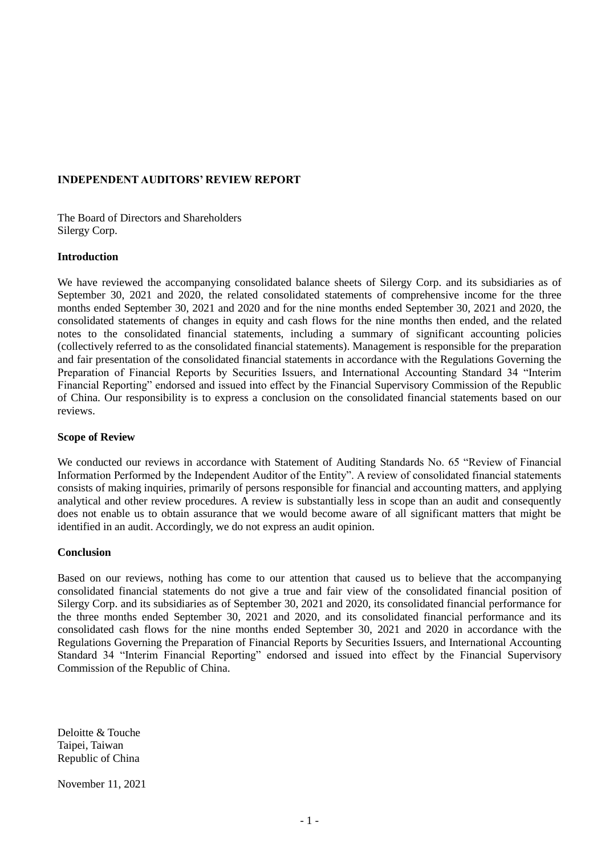## **INDEPENDENT AUDITORS' REVIEW REPORT**

The Board of Directors and Shareholders Silergy Corp.

### **Introduction**

We have reviewed the accompanying consolidated balance sheets of Silergy Corp. and its subsidiaries as of September 30, 2021 and 2020, the related consolidated statements of comprehensive income for the three months ended September 30, 2021 and 2020 and for the nine months ended September 30, 2021 and 2020, the consolidated statements of changes in equity and cash flows for the nine months then ended, and the related notes to the consolidated financial statements, including a summary of significant accounting policies (collectively referred to as the consolidated financial statements). Management is responsible for the preparation and fair presentation of the consolidated financial statements in accordance with the Regulations Governing the Preparation of Financial Reports by Securities Issuers, and International Accounting Standard 34 "Interim Financial Reporting" endorsed and issued into effect by the Financial Supervisory Commission of the Republic of China. Our responsibility is to express a conclusion on the consolidated financial statements based on our reviews.

### **Scope of Review**

We conducted our reviews in accordance with Statement of Auditing Standards No. 65 "Review of Financial Information Performed by the Independent Auditor of the Entity". A review of consolidated financial statements consists of making inquiries, primarily of persons responsible for financial and accounting matters, and applying analytical and other review procedures. A review is substantially less in scope than an audit and consequently does not enable us to obtain assurance that we would become aware of all significant matters that might be identified in an audit. Accordingly, we do not express an audit opinion.

### **Conclusion**

Based on our reviews, nothing has come to our attention that caused us to believe that the accompanying consolidated financial statements do not give a true and fair view of the consolidated financial position of Silergy Corp. and its subsidiaries as of September 30, 2021 and 2020, its consolidated financial performance for the three months ended September 30, 2021 and 2020, and its consolidated financial performance and its consolidated cash flows for the nine months ended September 30, 2021 and 2020 in accordance with the Regulations Governing the Preparation of Financial Reports by Securities Issuers, and International Accounting Standard 34 "Interim Financial Reporting" endorsed and issued into effect by the Financial Supervisory Commission of the Republic of China.

Deloitte & Touche Taipei, Taiwan Republic of China

November 11, 2021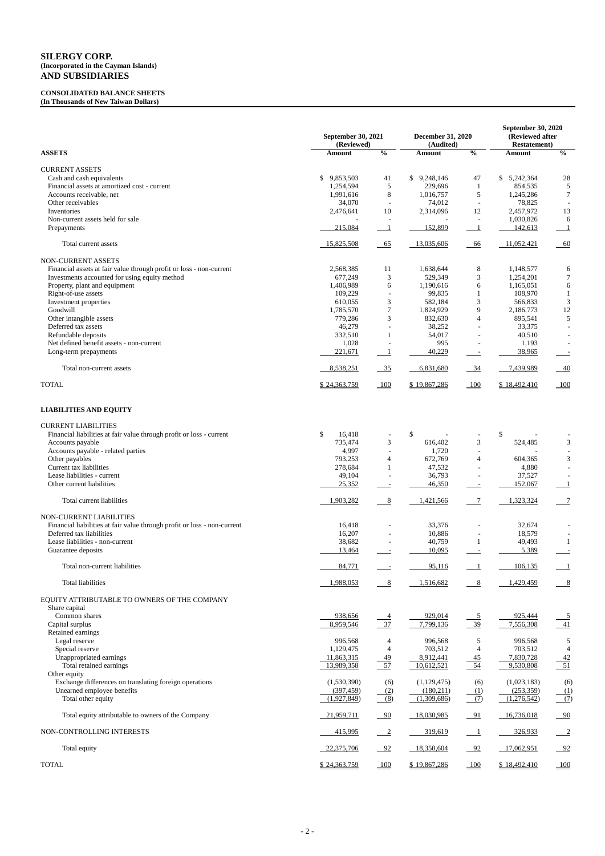#### **CONSOLIDATED BALANCE SHEETS (In Thousands of New Taiwan Dollars)**

**September 30, 2021 (Reviewed) December 31, 2020 (Audited) September 30, 2020 (Reviewed after Restatement) ASSETS Amount % Amount % Amount %** CURRENT ASSETS Cash and cash equivalents<br>
Financial assets at amortized cost - current the current term of the cost of the current term of the cost of the current term of the cost of the cost of the cost of the cost of the cost of the co Financial assets at amortized cost - current 1,254,594 5 229,696 1 854,535 5<br>Accounts receivable, net 1,991,616 8 1,016,757 5 1,245,286 7 Accounts receivable, net 1,991,616 8 1,016,757 5 1,245,286 7 Other receivables 234,070 - 74,012 - 78,825 - 74,012 - 78,825 - 74,012 - 78,825 - 74,012 - 78,825 - 75,825 - 75,825 - 75,825 - 75,825 - 75,825 - 75,825 - 75,825 - 75,825 - 75,825 - 75,825 - 75,825 - 75,825 - 75,825 - 75,82 Inventories 2,476,641 10 2,314,096 12 2,457,972 13 Non-current assets held for sale 6 and the sale of the sale of the sale of the sale of the sale of the sale of the sale of the sale of the sale of the sale of the sale of the sale of the sale of the sale of the sale of the Prepayments 215,084 1 152,899 1 142,613 1 Total current assets 15,825,508 65 13,035,606 66 11,052,421 60 NON-CURRENT ASSETS Financial assets at fair value through profit or loss - non-current 2,568,385 11 1,638,644 8 1,148,577 6 Investments accounted for using equity method 677,249 3 529,349 3 1,254,201 7 Property, plant and equipment 6 1,406,989 6 1,190,616 6 1,165,051 6 Right-of-use assets 109,229 - 99,835 1 108,970 1 Investment properties 3 566,833 3 582,184 3 566,833 3 Goodwill 1,785,570 7 1,824,929 9 2,186,773 12 Other intangible assets 6.6 and 5.541 5.6 and 5.6 and 5.6 and 5.6 and 5.6 and 5.6 and 5.6 and 5.6 and 5.779,286 5.6 and 5.779,286 5.741 5.789,541 5.789,541 5.789,541 5.789,541 5.789,541 5.789,541 5.789,541 5.789,541 5.789, Deferred tax assets 33,375 - 33,375 - 36,279 - 38,252 - 33,375 -Refundable deposits 40,510  $1$  54,017  $-$  40,510  $-$ Net defined benefit assets - non-current 1,028 - 995 - 1,193 -Long-term prepayments  $\frac{221,671}{1}$   $\frac{1}{1}$   $\frac{40,229}{1}$   $\frac{38,965}{1}$ Total non-current assets **8,538,251** 35 6,831,680 34 7,439,989 40 TOTAL \$ 24,363,759 100 \$ 19,867,286 100 \$ 18,492,410 100 **LIABILITIES AND EQUITY**

CURRENT LIABILITIES Financial liabilities at fair value through profit or loss - current  $\frac{16,418}{735,474}$   $\frac{16,418}{3}$   $\frac{16,418}{3}$   $\frac{16,402}{3}$   $\frac{3}{4}$ Accounts payable 3 524,485 3 616,402 3 524,485 3 Accounts payable - related parties  $4,997$  - 1,720 Other payables 3 604,365 3 672,769 4 672,769 4 604,365 3 Current tax liabilities 278,684 1 47,532 - 4,880 Lease liabilities - current<br>
Other current liabilities<br>
25,352 - 36,793 - 37,527 - 37,527 - 37,527 - 37,527 - 36,793 - 37,527 - 36,793 - 37,527 - 37,527 - 37,527 - 37,527 - 37,527 - 31,52,067 - 31,52,067 - 31,52,067 - 31,5 Other current liabilities 25,352 - 46,350 - 152,067 1 Total current liabilities 1,903,282 8 1,421,566 7 1,323,324 7 NON-CURRENT LIABILITIES Financial liabilities at fair value through profit or loss - non-current 16,418 - 33,376 - 32,674 Deferred tax liabilities 16,207 - 10,886 - 18,579 Lease liabilities - non-current 11 and 12 and 28,682 - 40,759 1 49,493 1 Guarantee deposits 13,464 - 10,095 - 5,389 - 5,389 - 10,095 - 5,389 - 5,389 - 10,095 - 5,389 - 10,095 - 5,389 - 10,095 - 10,095 - 10,095 - 10,095 - 10,095 - 10,095 - 10,095 - 10,095 - 10,095 - 10,095 - 10,095 - 10,095 - 10 Total non-current liabilities 1995, 116 1 106,135 1 106,135 1 106,135 1 106,135 1 106,135 1 106,135 1 106,135 1 106,135 1 106,135 1 106,135 1 106,135 1 106,135 1 106,135 1 106,135 1 106,135 1 106,135 1 106,135 1 106,135 1 Total liabilities 1,988,053 1,988,053 8 1,516,682 8 1,429,459 8 EQUITY ATTRIBUTABLE TO OWNERS OF THE COMPANY Share capital Common shares 6 1 1 2 3 3 3 4 4 5 938,656 5 4 929,014 5 938,656 5 9 925,444 5 5 925,444 5 929,014 5 938,656 5  $\frac{4}{3}$  5 925,444 5 925,444 5 925,444 5 925,444 5 929,014 5 925,444 5 925,444 5 925,444 5 925,444 5 925 925,4 Capital surplus **8,959,546** 37 7,799,136 39 7,556,308 41 Retained earnings Legal reserve 996,568 4 996,568 5 996,568 5

| Special reserve                                        | 1,129,475    |                | 703,512      | 4     | 703,512      | 4     |
|--------------------------------------------------------|--------------|----------------|--------------|-------|--------------|-------|
| Unappropriated earnings                                | 11,863,315   | $-49$          | 8,912,441    | $-45$ | 7,830,728    | $-42$ |
| Total retained earnings                                | 13,989,358   | $\frac{57}{2}$ | 10,612,521   | 54    | 9,530,808    | $-51$ |
| Other equity                                           |              |                |              |       |              |       |
| Exchange differences on translating foreign operations | (1,530,390)  | (6)            | (1,129,475)  | (6)   | (1,023,183)  | (6)   |
| Unearned employee benefits                             | (397, 459)   | (2)            | (180,211)    | (1)   | (253, 359)   | (1)   |
| Total other equity                                     | (1,927,849)  | (8)            | (1,309,686)  | (7)   | (1,276,542)  | (7)   |
| Total equity attributable to owners of the Company     | 21,959,711   | $-90$          | 18,030,985   | - 91  | 16,736,018   | $-90$ |
| NON-CONTROLLING INTERESTS                              | 415,995      |                | 319,619      |       | 326,933      |       |
| Total equity                                           | 22,375,706   | $-92$          | 18,350,604   | 92    | 17,062,951   | $-92$ |
| <b>TOTAL</b>                                           | \$24,363,759 | 100            | \$19,867,286 | 100   | \$18,492,410 | 100   |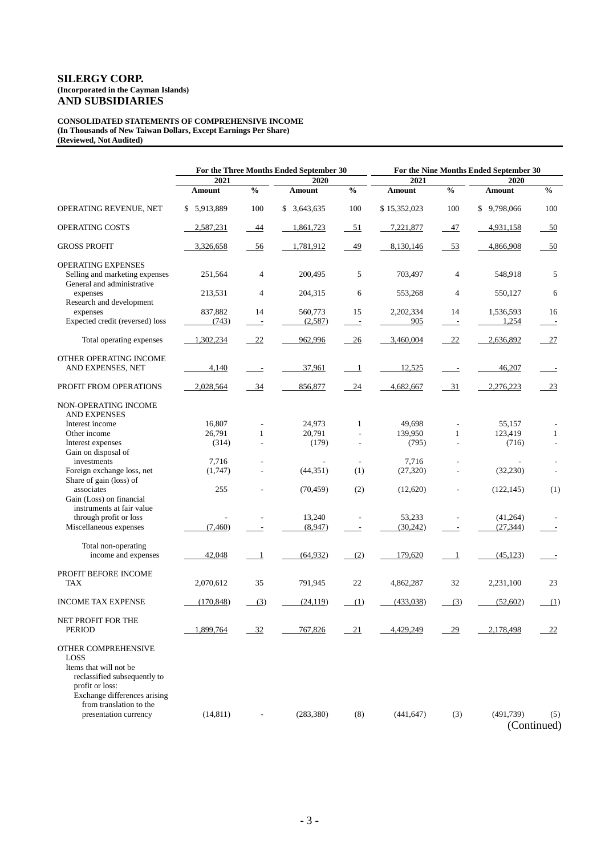#### **CONSOLIDATED STATEMENTS OF COMPREHENSIVE INCOME (In Thousands of New Taiwan Dollars, Except Earnings Per Share) (Reviewed, Not Audited)**

|                                                                                                                                                                     | For the Three Months Ended September 30 |                                |                    | For the Nine Months Ended September 30 |                  |                      |                    |                                |  |
|---------------------------------------------------------------------------------------------------------------------------------------------------------------------|-----------------------------------------|--------------------------------|--------------------|----------------------------------------|------------------|----------------------|--------------------|--------------------------------|--|
|                                                                                                                                                                     | 2021<br>2020                            |                                | 2021               |                                        | 2020             |                      |                    |                                |  |
|                                                                                                                                                                     | Amount                                  | $\frac{0}{0}$                  | Amount             | $\frac{0}{0}$                          | <b>Amount</b>    | $\frac{0}{0}$        | <b>Amount</b>      | $\frac{0}{0}$                  |  |
| OPERATING REVENUE, NET                                                                                                                                              | \$5,913,889                             | 100                            | \$3,643,635        | 100                                    | \$15,352,023     | 100                  | \$9,798,066        | 100                            |  |
| <b>OPERATING COSTS</b>                                                                                                                                              | 2,587,231                               | 44                             | 1,861,723          | $-51$                                  | 7,221,877        | 47                   | 4,931,158          | $-50$                          |  |
| <b>GROSS PROFIT</b>                                                                                                                                                 | 3,326,658                               | 56                             | 1,781,912          | 49                                     | 8,130,146        | $-53$                | 4,866,908          | 50                             |  |
| <b>OPERATING EXPENSES</b><br>Selling and marketing expenses<br>General and administrative                                                                           | 251,564                                 | 4                              | 200,495            | 5                                      | 703,497          | $\overline{4}$       | 548,918            | 5                              |  |
| expenses<br>Research and development                                                                                                                                | 213,531                                 | 4                              | 204,315            | 6                                      | 553,268          | $\overline{4}$       | 550,127            | 6                              |  |
| expenses<br>Expected credit (reversed) loss                                                                                                                         | 837,882<br>(743)                        | 14<br>$\overline{\phantom{a}}$ | 560,773<br>(2,587) | 15<br>$\overline{\phantom{a}}$         | 2,202,334<br>905 | 14<br>$\overline{a}$ | 1,536,593<br>1,254 | 16<br>$\overline{\phantom{a}}$ |  |
| Total operating expenses                                                                                                                                            | 1,302,234                               | 22                             | 962,996            | 26                                     | 3,460,004        | 22                   | 2,636,892          | 27                             |  |
| OTHER OPERATING INCOME<br>AND EXPENSES, NET                                                                                                                         | 4,140                                   | $\equiv$                       | 37,961             | $\overline{\phantom{0}}$               | 12,525           |                      | 46,207             |                                |  |
| PROFIT FROM OPERATIONS                                                                                                                                              | 2,028,564                               | 34                             | 856,877            | 24                                     | 4,682,667        | 31                   | 2,276,223          | 23                             |  |
| NON-OPERATING INCOME<br><b>AND EXPENSES</b>                                                                                                                         |                                         |                                |                    |                                        |                  |                      |                    |                                |  |
| Interest income                                                                                                                                                     | 16,807                                  |                                | 24,973             | $\mathbf{1}$                           | 49,698           |                      | 55,157             |                                |  |
| Other income                                                                                                                                                        | 26,791                                  | $\mathbf{1}$                   | 20,791             |                                        | 139,950          | $\mathbf{1}$         | 123,419            | $\mathbf{1}$                   |  |
| Interest expenses                                                                                                                                                   | (314)                                   |                                | (179)              | $\overline{\phantom{a}}$               | (795)            | ÷                    | (716)              | ÷                              |  |
| Gain on disposal of                                                                                                                                                 |                                         |                                |                    |                                        |                  |                      |                    |                                |  |
| investments                                                                                                                                                         | 7,716                                   |                                |                    |                                        | 7,716            |                      |                    |                                |  |
| Foreign exchange loss, net<br>Share of gain (loss) of                                                                                                               | (1,747)                                 |                                | (44, 351)          | (1)                                    | (27, 320)        |                      | (32, 230)          |                                |  |
| associates<br>Gain (Loss) on financial                                                                                                                              | 255                                     |                                | (70, 459)          | (2)                                    | (12,620)         |                      | (122, 145)         | (1)                            |  |
| instruments at fair value                                                                                                                                           |                                         |                                |                    |                                        |                  |                      |                    |                                |  |
| through profit or loss                                                                                                                                              |                                         |                                | 13,240             |                                        | 53,233           |                      | (41, 264)          |                                |  |
| Miscellaneous expenses                                                                                                                                              | (7, 460)                                | $\overline{\phantom{a}}$       | (8,947)            | $\overline{a}$                         | (30,242)         |                      | (27, 344)          |                                |  |
| Total non-operating<br>income and expenses                                                                                                                          | 42,048                                  | $\mathbf{1}$                   | (64, 932)          | (2)                                    | 179,620          | -1                   | (45, 123)          |                                |  |
| PROFIT BEFORE INCOME<br><b>TAX</b>                                                                                                                                  | 2,070,612                               | 35                             | 791,945            | 22                                     | 4,862,287        | 32                   | 2,231,100          | 23                             |  |
| <b>INCOME TAX EXPENSE</b>                                                                                                                                           | (170, 848)                              | (3)                            | (24, 119)          | (1)                                    | (433,038)        | (3)                  | (52,602)           | (1)                            |  |
| NET PROFIT FOR THE<br><b>PERIOD</b>                                                                                                                                 | 1,899,764                               | 32                             | 767,826            | 21                                     | 4.429.249        | 29                   | 2,178,498          | 22                             |  |
| OTHER COMPREHENSIVE<br>LOSS<br>Items that will not be<br>reclassified subsequently to<br>profit or loss:<br>Exchange differences arising<br>from translation to the |                                         |                                |                    |                                        |                  |                      |                    |                                |  |
| presentation currency                                                                                                                                               | (14, 811)                               |                                | (283, 380)         | (8)                                    | (441, 647)       | (3)                  | (491,739)          | (5)<br>(Continued)             |  |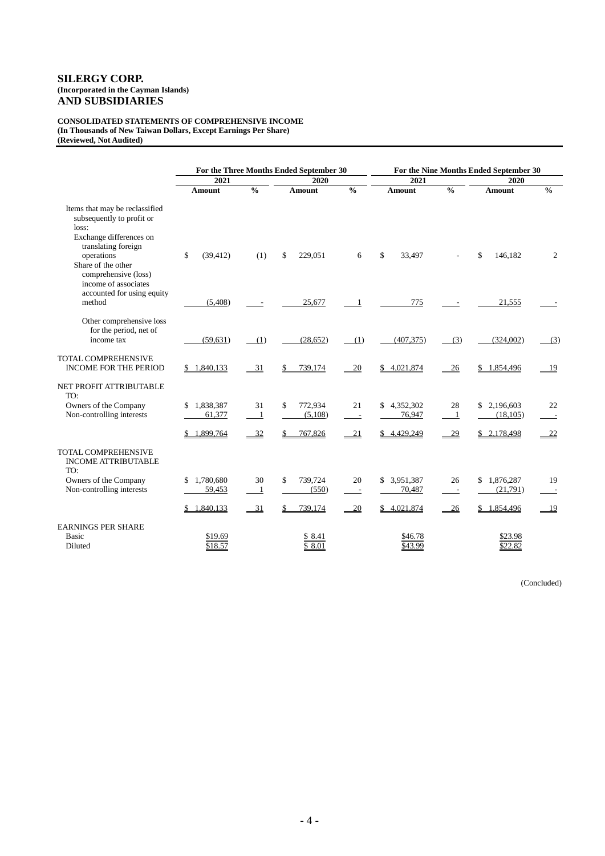#### **CONSOLIDATED STATEMENTS OF COMPREHENSIVE INCOME (In Thousands of New Taiwan Dollars, Except Earnings Per Share) (Reviewed, Not Audited)**

|                                                                                                                                      |                           | For the Three Months Ended September 30 |                          |                                |                           | For the Nine Months Ended September 30 |                          |                |  |
|--------------------------------------------------------------------------------------------------------------------------------------|---------------------------|-----------------------------------------|--------------------------|--------------------------------|---------------------------|----------------------------------------|--------------------------|----------------|--|
|                                                                                                                                      | 2021                      |                                         | 2020                     |                                | 2021                      |                                        | 2020                     |                |  |
|                                                                                                                                      | <b>Amount</b>             | $\frac{0}{0}$                           | Amount                   | $\frac{0}{0}$                  | Amount                    | $\frac{0}{0}$                          | Amount                   | $\frac{0}{0}$  |  |
| Items that may be reclassified<br>subsequently to profit or<br>loss:<br>Exchange differences on<br>translating foreign<br>operations | \$<br>(39, 412)           | (1)                                     | \$<br>229.051            | 6                              | \$<br>33,497              |                                        | \$<br>146,182            | $\overline{c}$ |  |
| Share of the other<br>comprehensive (loss)<br>income of associates<br>accounted for using equity<br>method                           | (5,408)                   |                                         | 25,677                   | -1                             | 775                       |                                        | 21,555                   |                |  |
| Other comprehensive loss<br>for the period, net of<br>income tax                                                                     | (59, 631)                 | (1)                                     | (28, 652)                | (1)                            | (407, 375)                | (3)                                    | (324,002)                | (3)            |  |
| <b>TOTAL COMPREHENSIVE</b><br><b>INCOME FOR THE PERIOD</b>                                                                           | \$1,840,133               | 31                                      | 739,174                  | 20                             | 4,021,874<br>\$           | 26                                     | \$1,854,496              | 19             |  |
| NET PROFIT ATTRIBUTABLE<br>TO:                                                                                                       |                           |                                         |                          |                                |                           |                                        |                          |                |  |
| Owners of the Company<br>Non-controlling interests                                                                                   | 1,838,387<br>\$<br>61,377 | 31<br>$\mathbf{1}$                      | \$<br>772,934<br>(5,108) | 21<br>$\overline{\phantom{a}}$ | 4,352,302<br>\$<br>76,947 | 28<br>$\overline{1}$                   | \$2,196,603<br>(18, 105) | 22             |  |
|                                                                                                                                      | \$1,899,764               | $-32$                                   | 767,826                  | 21                             | \$4,429,249               | 29                                     | \$2,178,498              | 22             |  |
| <b>TOTAL COMPREHENSIVE</b><br><b>INCOME ATTRIBUTABLE</b><br>TO:                                                                      |                           |                                         |                          |                                |                           |                                        |                          |                |  |
| Owners of the Company<br>Non-controlling interests                                                                                   | \$1,780,680<br>59,453     | 30<br>$\mathbf{1}$                      | 739,724<br>\$<br>(550)   | 20<br>$\sim$                   | 3,951,387<br>S<br>70,487  | 26<br>$\sim$ $-$                       | \$1,876,287<br>(21,791)  | 19             |  |
|                                                                                                                                      | \$1,840,133               | $-31$                                   | 739,174                  | $-20$                          | \$4,021,874               | $-26$                                  | \$1,854,496              | $-19$          |  |
| <b>EARNINGS PER SHARE</b><br>Basic<br>Diluted                                                                                        | \$19.69<br>\$18.57        |                                         | \$8.41<br>\$8.01         |                                | \$46.78<br>\$43.99        |                                        | \$23.98<br>\$22.82       |                |  |

(Concluded)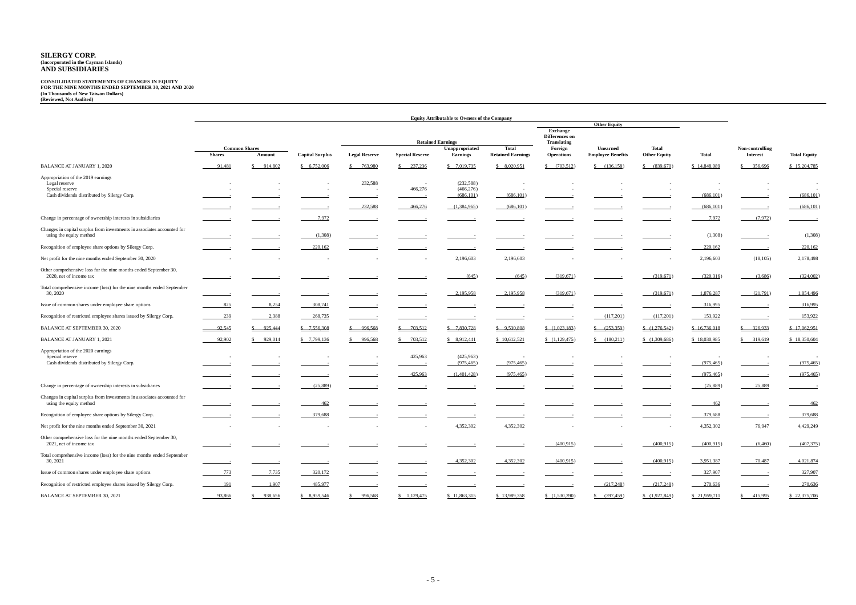#### **CONSOLIDATED STATEMENTS OF CHANGES IN EQUITY FOR THE NINE MONTHS ENDED SEPTEMBER 30, 2021 AND 2020 (In Thousands of New Taiwan Dollars) (Reviewed, Not Audited)**

|                                                                                             |                                                 | <b>Equity Attributable to Owners of the Company</b> |                        |                                                                                                                                                                                                                                      |                                                                                                                                                                                                                                                                                                                                                                                                                                                                            |                                            |                          |                               |                                        |                        |               |                                                                                                                                                                                                                                                       |                     |  |
|---------------------------------------------------------------------------------------------|-------------------------------------------------|-----------------------------------------------------|------------------------|--------------------------------------------------------------------------------------------------------------------------------------------------------------------------------------------------------------------------------------|----------------------------------------------------------------------------------------------------------------------------------------------------------------------------------------------------------------------------------------------------------------------------------------------------------------------------------------------------------------------------------------------------------------------------------------------------------------------------|--------------------------------------------|--------------------------|-------------------------------|----------------------------------------|------------------------|---------------|-------------------------------------------------------------------------------------------------------------------------------------------------------------------------------------------------------------------------------------------------------|---------------------|--|
|                                                                                             |                                                 |                                                     |                        |                                                                                                                                                                                                                                      |                                                                                                                                                                                                                                                                                                                                                                                                                                                                            |                                            |                          |                               | <b>Other Equity</b><br><b>Exchange</b> |                        |               |                                                                                                                                                                                                                                                       |                     |  |
|                                                                                             |                                                 |                                                     |                        |                                                                                                                                                                                                                                      |                                                                                                                                                                                                                                                                                                                                                                                                                                                                            |                                            |                          | Differences on                |                                        |                        |               |                                                                                                                                                                                                                                                       |                     |  |
|                                                                                             |                                                 |                                                     |                        |                                                                                                                                                                                                                                      |                                                                                                                                                                                                                                                                                                                                                                                                                                                                            | <b>Retained Earnings</b><br>Unappropriated | <b>Total</b>             | <b>Translating</b><br>Foreign | <b>Unearned</b>                        | Total                  |               | Non-controlling                                                                                                                                                                                                                                       |                     |  |
|                                                                                             | <b>Common Shares</b><br><b>Shares</b><br>Amount |                                                     | <b>Capital Surplus</b> | <b>Legal Reserve</b>                                                                                                                                                                                                                 | <b>Special Reserve</b>                                                                                                                                                                                                                                                                                                                                                                                                                                                     | <b>Earnings</b>                            | <b>Retained Earnings</b> | <b>Operations</b>             | <b>Employee Benefits</b>               | <b>Other Equity</b>    | <b>Total</b>  | <b>Interest</b>                                                                                                                                                                                                                                       | <b>Total Equity</b> |  |
| <b>BALANCE AT JANUARY 1, 2020</b>                                                           | 91,481                                          | 914,802                                             | \$6,752,006            | 763,980                                                                                                                                                                                                                              | 237,236                                                                                                                                                                                                                                                                                                                                                                                                                                                                    | \$7,019,735                                | \$8,020,951              | \$ (703,512)                  | \$ (136,158)                           | \$ (839,670)           | \$14,848,089  | \$356,696                                                                                                                                                                                                                                             | \$15,204,785        |  |
| Appropriation of the 2019 earnings                                                          |                                                 |                                                     |                        |                                                                                                                                                                                                                                      |                                                                                                                                                                                                                                                                                                                                                                                                                                                                            |                                            |                          |                               |                                        |                        |               |                                                                                                                                                                                                                                                       |                     |  |
| Legal reserve<br>Special reserve                                                            |                                                 |                                                     |                        | 232,588                                                                                                                                                                                                                              | $\sim$<br>466,276                                                                                                                                                                                                                                                                                                                                                                                                                                                          | (232, 588)<br>(466, 276)                   |                          |                               |                                        | $\sim$                 |               |                                                                                                                                                                                                                                                       |                     |  |
| Cash dividends distributed by Silergy Corp.                                                 |                                                 |                                                     |                        |                                                                                                                                                                                                                                      |                                                                                                                                                                                                                                                                                                                                                                                                                                                                            | (686, 101)                                 | (686, 101)               |                               |                                        |                        | (686, 101)    |                                                                                                                                                                                                                                                       | (686, 101)          |  |
|                                                                                             |                                                 |                                                     |                        | 232,588                                                                                                                                                                                                                              | 466,276                                                                                                                                                                                                                                                                                                                                                                                                                                                                    | (1,384,965)                                | (686,101)                |                               |                                        |                        | (686, 101)    |                                                                                                                                                                                                                                                       | (686, 101)          |  |
| Change in percentage of ownership interests in subsidiaries                                 |                                                 |                                                     | 7,972                  |                                                                                                                                                                                                                                      |                                                                                                                                                                                                                                                                                                                                                                                                                                                                            |                                            |                          |                               |                                        |                        | 7,972         | (7,972)                                                                                                                                                                                                                                               |                     |  |
| Changes in capital surplus from investments in associates accounted for                     |                                                 |                                                     |                        |                                                                                                                                                                                                                                      |                                                                                                                                                                                                                                                                                                                                                                                                                                                                            |                                            |                          |                               |                                        |                        |               |                                                                                                                                                                                                                                                       | (1,308)             |  |
| using the equity method                                                                     |                                                 |                                                     | (1,308)                |                                                                                                                                                                                                                                      |                                                                                                                                                                                                                                                                                                                                                                                                                                                                            |                                            |                          |                               |                                        |                        | (1,308)       |                                                                                                                                                                                                                                                       |                     |  |
| Recognition of employee share options by Silergy Corp.                                      |                                                 |                                                     | 220,162                |                                                                                                                                                                                                                                      |                                                                                                                                                                                                                                                                                                                                                                                                                                                                            |                                            |                          |                               |                                        |                        | 220,162       |                                                                                                                                                                                                                                                       | 220,162             |  |
| Net profit for the nine months ended September 30, 2020                                     |                                                 |                                                     |                        |                                                                                                                                                                                                                                      |                                                                                                                                                                                                                                                                                                                                                                                                                                                                            | 2,196,603                                  | 2,196,603                |                               |                                        |                        | 2,196,603     | (18, 105)                                                                                                                                                                                                                                             | 2,178,498           |  |
| Other comprehensive loss for the nine months ended September 30,<br>2020, net of income tax |                                                 |                                                     |                        |                                                                                                                                                                                                                                      |                                                                                                                                                                                                                                                                                                                                                                                                                                                                            | (645)                                      | (645)                    | (319,671)                     |                                        | (319,671)              | (320,316)     | (3,686)                                                                                                                                                                                                                                               | (324,002)           |  |
| Total comprehensive income (loss) for the nine months ended September<br>30, 2020           |                                                 |                                                     |                        |                                                                                                                                                                                                                                      |                                                                                                                                                                                                                                                                                                                                                                                                                                                                            | 2,195,958                                  | 2,195,958                | (319,671)                     |                                        | (319,671)              | 1,876,287     | (21,791)                                                                                                                                                                                                                                              | 1,854,496           |  |
| Issue of common shares under employee share options                                         | 825                                             | 8,254                                               | 308,741                |                                                                                                                                                                                                                                      |                                                                                                                                                                                                                                                                                                                                                                                                                                                                            |                                            |                          |                               |                                        |                        | 316,995       |                                                                                                                                                                                                                                                       | 316,995             |  |
| Recognition of restricted employee shares issued by Silergy Corp.                           | 239                                             | 2,388                                               | 268,735                |                                                                                                                                                                                                                                      |                                                                                                                                                                                                                                                                                                                                                                                                                                                                            |                                            |                          |                               | (117,201)                              | (117,201)              | 153,922       |                                                                                                                                                                                                                                                       | 153,922             |  |
| <b>BALANCE AT SEPTEMBER 30, 2020</b>                                                        | 92,545                                          | 925,444                                             | \$7,556,308            | 996,568                                                                                                                                                                                                                              | 703,512                                                                                                                                                                                                                                                                                                                                                                                                                                                                    | \$7,830,728                                | \$9,530,808              | (1,023,183)                   | \$ (253,359)                           | (1,276,542)            | \$16,736,018  | \$326,933                                                                                                                                                                                                                                             | \$17,062,951        |  |
| <b>BALANCE AT JANUARY 1, 2021</b>                                                           | 92,902                                          | 929,014                                             | \$7,799,136            | 996,568                                                                                                                                                                                                                              | 703,512                                                                                                                                                                                                                                                                                                                                                                                                                                                                    | \$8,912,441                                | \$10,612,521             | (1,129,475)                   | \$ (180,211)                           | (1,309,686)            | \$18,030,985  | \$319,619                                                                                                                                                                                                                                             | \$18,350,604        |  |
| Appropriation of the 2020 earnings                                                          |                                                 |                                                     |                        |                                                                                                                                                                                                                                      |                                                                                                                                                                                                                                                                                                                                                                                                                                                                            |                                            |                          |                               |                                        |                        |               |                                                                                                                                                                                                                                                       |                     |  |
| Special reserve<br>Cash dividends distributed by Silergy Corp.                              |                                                 |                                                     |                        |                                                                                                                                                                                                                                      | 425,963                                                                                                                                                                                                                                                                                                                                                                                                                                                                    | (425,963)<br>(975, 465)                    | (975, 465)               |                               |                                        |                        | (975, 465)    |                                                                                                                                                                                                                                                       | (975, 465)          |  |
|                                                                                             |                                                 |                                                     |                        |                                                                                                                                                                                                                                      | 425,963                                                                                                                                                                                                                                                                                                                                                                                                                                                                    | (1,401,428)                                | (975, 465)               |                               |                                        |                        | (975, 465)    |                                                                                                                                                                                                                                                       | (975, 465)          |  |
| Change in percentage of ownership interests in subsidiaries                                 |                                                 |                                                     | (25,889)               |                                                                                                                                                                                                                                      |                                                                                                                                                                                                                                                                                                                                                                                                                                                                            |                                            |                          |                               |                                        |                        | (25,889)      | 25,889                                                                                                                                                                                                                                                |                     |  |
| Changes in capital surplus from investments in associates accounted for                     |                                                 |                                                     |                        |                                                                                                                                                                                                                                      |                                                                                                                                                                                                                                                                                                                                                                                                                                                                            |                                            |                          |                               |                                        |                        |               |                                                                                                                                                                                                                                                       |                     |  |
| using the equity method                                                                     |                                                 |                                                     | 462                    |                                                                                                                                                                                                                                      |                                                                                                                                                                                                                                                                                                                                                                                                                                                                            |                                            |                          |                               |                                        |                        | 462           |                                                                                                                                                                                                                                                       | 462                 |  |
| Recognition of employee share options by Silergy Corp.                                      |                                                 |                                                     | 379,688                |                                                                                                                                                                                                                                      |                                                                                                                                                                                                                                                                                                                                                                                                                                                                            |                                            |                          |                               |                                        |                        | 379,688       |                                                                                                                                                                                                                                                       | 379,688             |  |
| Net profit for the nine months ended September 30, 2021                                     |                                                 |                                                     |                        |                                                                                                                                                                                                                                      |                                                                                                                                                                                                                                                                                                                                                                                                                                                                            | 4,352,302                                  | 4,352,302                |                               |                                        |                        | 4,352,302     | 76,947                                                                                                                                                                                                                                                | 4,429,249           |  |
| Other comprehensive loss for the nine months ended September 30,<br>2021, net of income tax |                                                 |                                                     |                        |                                                                                                                                                                                                                                      |                                                                                                                                                                                                                                                                                                                                                                                                                                                                            |                                            |                          | (400, 915)                    |                                        | (400,915)              | (400,915)     | (6,460)                                                                                                                                                                                                                                               | (407,375)           |  |
| Total comprehensive income (loss) for the nine months ended September<br>30, 2021           |                                                 | $\equiv$                                            |                        | <u>and the company of the company of the company of the company of the company of the company of the company of the company of the company of the company of the company of the company of the company of the company of the com</u> | $\frac{1}{2} \left( \frac{1}{2} \right) \left( \frac{1}{2} \right) \left( \frac{1}{2} \right) \left( \frac{1}{2} \right) \left( \frac{1}{2} \right) \left( \frac{1}{2} \right) \left( \frac{1}{2} \right) \left( \frac{1}{2} \right) \left( \frac{1}{2} \right) \left( \frac{1}{2} \right) \left( \frac{1}{2} \right) \left( \frac{1}{2} \right) \left( \frac{1}{2} \right) \left( \frac{1}{2} \right) \left( \frac{1}{2} \right) \left( \frac{1}{2} \right) \left( \frac$ | 4,352,302                                  | 4,352,302                | (400,915)                     |                                        | (400,915)              | 3,951,387     | 70,487                                                                                                                                                                                                                                                | 4,021,874           |  |
| Issue of common shares under employee share options                                         | 773                                             | 7,735                                               | 320,172                |                                                                                                                                                                                                                                      |                                                                                                                                                                                                                                                                                                                                                                                                                                                                            |                                            |                          |                               |                                        | and the control of the | 327,907       | $\sim$ $\sim$<br><u>and the community of the community of the community of the community of the community of the community of the community of the community of the community of the community of the community of the community of the community</u> | 327,907             |  |
| Recognition of restricted employee shares issued by Silergy Corp.                           | 191                                             | 1,907                                               | 485,977                |                                                                                                                                                                                                                                      |                                                                                                                                                                                                                                                                                                                                                                                                                                                                            |                                            |                          |                               | (217,248)                              | (217,248)              | 270,636       |                                                                                                                                                                                                                                                       | 270,636             |  |
| BALANCE AT SEPTEMBER 30, 2021                                                               | 93,866                                          | \$938,656                                           | \$ 8,959,546           | \$996,568                                                                                                                                                                                                                            | \$1,129,475                                                                                                                                                                                                                                                                                                                                                                                                                                                                | \$11,863,315                               | \$13,989,358             | (1,530,390)                   | $\frac{(397,459)}{2}$                  | (1,927,849)            | \$ 21,959,711 | \$ 415,995                                                                                                                                                                                                                                            | \$22,375,706        |  |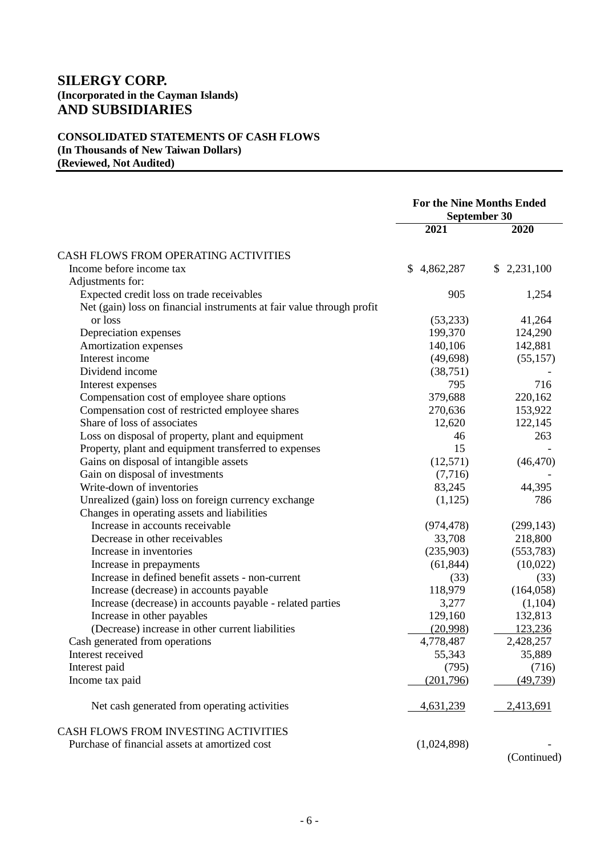## **CONSOLIDATED STATEMENTS OF CASH FLOWS (In Thousands of New Taiwan Dollars) (Reviewed, Not Audited)**

|                                                                       | <b>For the Nine Months Ended</b><br><b>September 30</b> |             |  |
|-----------------------------------------------------------------------|---------------------------------------------------------|-------------|--|
|                                                                       | 2021                                                    | 2020        |  |
| CASH FLOWS FROM OPERATING ACTIVITIES                                  |                                                         |             |  |
| Income before income tax                                              | \$4,862,287                                             | \$2,231,100 |  |
| Adjustments for:                                                      |                                                         |             |  |
| Expected credit loss on trade receivables                             | 905                                                     | 1,254       |  |
| Net (gain) loss on financial instruments at fair value through profit |                                                         |             |  |
| or loss                                                               | (53,233)                                                | 41,264      |  |
| Depreciation expenses                                                 | 199,370                                                 | 124,290     |  |
| Amortization expenses                                                 | 140,106                                                 | 142,881     |  |
| Interest income                                                       | (49, 698)                                               | (55,157)    |  |
| Dividend income                                                       | (38, 751)                                               |             |  |
| Interest expenses                                                     | 795                                                     | 716         |  |
| Compensation cost of employee share options                           | 379,688                                                 | 220,162     |  |
| Compensation cost of restricted employee shares                       | 270,636                                                 | 153,922     |  |
| Share of loss of associates                                           | 12,620                                                  | 122,145     |  |
| Loss on disposal of property, plant and equipment                     | 46                                                      | 263         |  |
| Property, plant and equipment transferred to expenses                 | 15                                                      |             |  |
| Gains on disposal of intangible assets                                | (12,571)                                                | (46, 470)   |  |
| Gain on disposal of investments                                       | (7,716)                                                 |             |  |
| Write-down of inventories                                             | 83,245                                                  | 44,395      |  |
| Unrealized (gain) loss on foreign currency exchange                   | (1,125)                                                 | 786         |  |
| Changes in operating assets and liabilities                           |                                                         |             |  |
| Increase in accounts receivable                                       | (974, 478)                                              | (299, 143)  |  |
| Decrease in other receivables                                         | 33,708                                                  | 218,800     |  |
| Increase in inventories                                               | (235,903)                                               | (553,783)   |  |
| Increase in prepayments                                               | (61, 844)                                               | (10,022)    |  |
| Increase in defined benefit assets - non-current                      | (33)                                                    | (33)        |  |
| Increase (decrease) in accounts payable                               | 118,979                                                 | (164, 058)  |  |
| Increase (decrease) in accounts payable - related parties             | 3,277                                                   | (1,104)     |  |
| Increase in other payables                                            | 129,160                                                 | 132,813     |  |
| (Decrease) increase in other current liabilities                      | (20,998)                                                | 123,236     |  |
| Cash generated from operations                                        | 4,778,487                                               | 2,428,257   |  |
| Interest received                                                     | 55,343                                                  | 35,889      |  |
| Interest paid                                                         | (795)                                                   | (716)       |  |
| Income tax paid                                                       | (201,796)                                               | (49, 739)   |  |
| Net cash generated from operating activities                          | 4,631,239                                               | 2,413,691   |  |
| CASH FLOWS FROM INVESTING ACTIVITIES                                  |                                                         |             |  |
| Purchase of financial assets at amortized cost                        | (1,024,898)                                             |             |  |

(Continued)